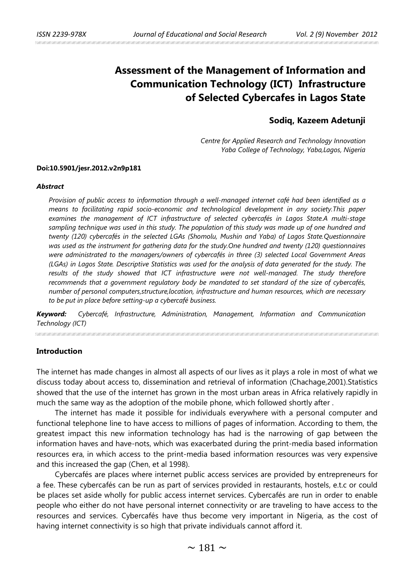# **Assessment of the Management of Information and Communication Technology (ICT) Infrastructure of Selected Cybercafes in Lagos State**

# **Sodiq, Kazeem Adetunji**

*Centre for Applied Research and Technology Innovation Yaba College of Technology, Yaba,Lagos, Nigeria* 

#### **Doi:10.5901/jesr.2012.v2n9p181**

#### *Abstract*

*Provision of public access to information through a well-managed internet café had been identified as a means to facilitating rapid socio-economic and technological development in any society.This paper examines the management of ICT infrastructure of selected cybercafés in Lagos State.A multi-stage sampling technique was used in this study. The population of this study was made up of one hundred and twenty (120) cybercafés in the selected LGAs (Shomolu, Mushin and Yaba) of Lagos State.Questionnaire was used as the instrument for gathering data for the study.One hundred and twenty (120) questionnaires were administrated to the managers/owners of cybercafés in three (3) selected Local Government Areas (LGAs) in Lagos State. Descriptive Statistics was used for the analysis of data generated for the study. The results of the study showed that ICT infrastructure were not well-managed. The study therefore recommends that a government regulatory body be mandated to set standard of the size of cybercafés, number of personal computers,structure,location, infrastructure and human resources, which are necessary to be put in place before setting-up a cybercafé business.* 

*Keyword: Cybercafé, Infrastructure, Administration, Management, Information and Communication Technology (ICT)* 

#### **Introduction**

The internet has made changes in almost all aspects of our lives as it plays a role in most of what we discuss today about access to, dissemination and retrieval of information (Chachage,2001).Statistics showed that the use of the internet has grown in the most urban areas in Africa relatively rapidly in much the same way as the adoption of the mobile phone, which followed shortly after .

The internet has made it possible for individuals everywhere with a personal computer and functional telephone line to have access to millions of pages of information. According to them, the greatest impact this new information technology has had is the narrowing of gap between the information haves and have-nots, which was exacerbated during the print-media based information resources era, in which access to the print-media based information resources was very expensive and this increased the gap (Chen, et al 1998).

Cybercafés are places where internet public access services are provided by entrepreneurs for a fee. These cybercafés can be run as part of services provided in restaurants, hostels, e.t.c or could be places set aside wholly for public access internet services. Cybercafés are run in order to enable people who either do not have personal internet connectivity or are traveling to have access to the resources and services. Cybercafés have thus become very important in Nigeria, as the cost of having internet connectivity is so high that private individuals cannot afford it.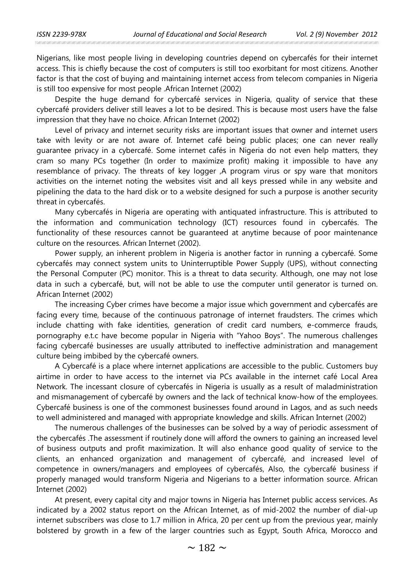Nigerians, like most people living in developing countries depend on cybercafés for their internet access. This is chiefly because the cost of computers is still too exorbitant for most citizens. Another factor is that the cost of buying and maintaining internet access from telecom companies in Nigeria is still too expensive for most people .African Internet (2002)

Despite the huge demand for cybercafé services in Nigeria, quality of service that these cybercafé providers deliver still leaves a lot to be desired. This is because most users have the false impression that they have no choice. African Internet (2002)

Level of privacy and internet security risks are important issues that owner and internet users take with levity or are not aware of. Internet café being public places; one can never really guarantee privacy in a cybercafé. Some internet cafés in Nigeria do not even help matters, they cram so many PCs together (In order to maximize profit) making it impossible to have any resemblance of privacy. The threats of key logger ,A program virus or spy ware that monitors activities on the internet noting the websites visit and all keys pressed while in any website and pipelining the data to the hard disk or to a website designed for such a purpose is another security threat in cybercafés.

Many cybercafés in Nigeria are operating with antiquated infrastructure. This is attributed to the information and communication technology (ICT) resources found in cybercafés. The functionality of these resources cannot be guaranteed at anytime because of poor maintenance culture on the resources. African Internet (2002).

Power supply, an inherent problem in Nigeria is another factor in running a cybercafé. Some cybercafés may connect system units to Uninterruptible Power Supply (UPS), without connecting the Personal Computer (PC) monitor. This is a threat to data security. Although, one may not lose data in such a cybercafé, but, will not be able to use the computer until generator is turned on. African Internet (2002)

The increasing Cyber crimes have become a major issue which government and cybercafés are facing every time, because of the continuous patronage of internet fraudsters. The crimes which include chatting with fake identities, generation of credit card numbers, e-commerce frauds, pornography e.t.c have become popular in Nigeria with "Yahoo Boys". The numerous challenges facing cybercafé businesses are usually attributed to ineffective administration and management culture being imbibed by the cybercafé owners.

A Cybercafé is a place where internet applications are accessible to the public. Customers buy airtime in order to have access to the internet via PCs available in the internet café Local Area Network. The incessant closure of cybercafés in Nigeria is usually as a result of maladministration and mismanagement of cybercafé by owners and the lack of technical know-how of the employees. Cybercafé business is one of the commonest businesses found around in Lagos, and as such needs to well administered and managed with appropriate knowledge and skills. African Internet (2002)

The numerous challenges of the businesses can be solved by a way of periodic assessment of the cybercafés .The assessment if routinely done will afford the owners to gaining an increased level of business outputs and profit maximization. It will also enhance good quality of service to the clients, an enhanced organization and management of cybercafé, and increased level of competence in owners/managers and employees of cybercafés, Also, the cybercafé business if properly managed would transform Nigeria and Nigerians to a better information source. African Internet (2002)

At present, every capital city and major towns in Nigeria has Internet public access services. As indicated by a 2002 status report on the African Internet, as of mid-2002 the number of dial-up internet subscribers was close to 1.7 million in Africa, 20 per cent up from the previous year, mainly bolstered by growth in a few of the larger countries such as Egypt, South Africa, Morocco and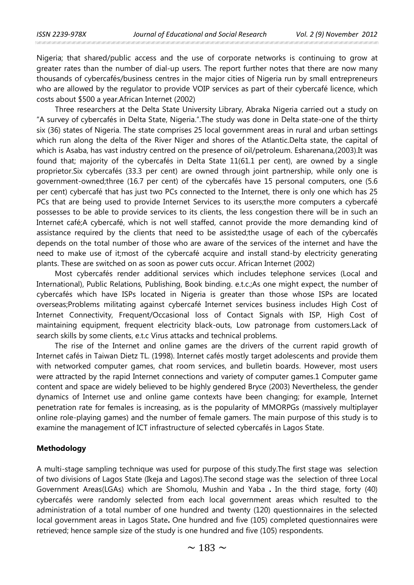Nigeria; that shared/public access and the use of corporate networks is continuing to grow at greater rates than the number of dial-up users. The report further notes that there are now many thousands of cybercafés/business centres in the major cities of Nigeria run by small entrepreneurs who are allowed by the regulator to provide VOIP services as part of their cybercafé licence, which costs about \$500 a year.African Internet (2002)

Three researchers at the Delta State University Library, Abraka Nigeria carried out a study on "A survey of cybercafés in Delta State, Nigeria.".The study was done in Delta state-one of the thirty six (36) states of Nigeria. The state comprises 25 local government areas in rural and urban settings which run along the delta of the River Niger and shores of the Atlantic.Delta state, the capital of which is Asaba, has vast industry centred on the presence of oil/petroleum. Esharenana,(2003).It was found that; majority of the cybercafés in Delta State 11(61.1 per cent), are owned by a single proprietor.Six cybercafés (33.3 per cent) are owned through joint partnership, while only one is government-owned;three (16.7 per cent) of the cybercafés have 15 personal computers, one (5.6 per cent) cybercafé that has just two PCs connected to the Internet, there is only one which has 25 PCs that are being used to provide Internet Services to its users;the more computers a cybercafé possesses to be able to provide services to its clients, the less congestion there will be in such an Internet café;A cybercafé, which is not well staffed, cannot provide the more demanding kind of assistance required by the clients that need to be assisted;the usage of each of the cybercafés depends on the total number of those who are aware of the services of the internet and have the need to make use of it;most of the cybercafé acquire and install stand-by electricity generating plants. These are switched on as soon as power cuts occur. African Internet (2002)

Most cybercafés render additional services which includes telephone services (Local and International), Public Relations, Publishing, Book binding. e.t.c.;As one might expect, the number of cybercafés which have ISPs located in Nigeria is greater than those whose ISPs are located overseas;Problems militating against cybercafé Internet services business includes High Cost of Internet Connectivity, Frequent/Occasional loss of Contact Signals with ISP, High Cost of maintaining equipment, frequent electricity black-outs, Low patronage from customers.Lack of search skills by some clients, e.t.c Virus attacks and technical problems.

The rise of the Internet and online games are the drivers of the current rapid growth of Internet cafés in Taiwan Dietz TL. (1998). Internet cafés mostly target adolescents and provide them with networked computer games, chat room services, and bulletin boards. However, most users were attracted by the rapid Internet connections and variety of computer games.1 Computer game content and space are widely believed to be highly gendered Bryce (2003) Nevertheless, the gender dynamics of Internet use and online game contexts have been changing; for example, Internet penetration rate for females is increasing, as is the popularity of MMORPGs (massively multiplayer online role-playing games) and the number of female gamers. The main purpose of this study is to examine the management of ICT infrastructure of selected cybercafés in Lagos State.

#### **Methodology**

A multi-stage sampling technique was used for purpose of this study.The first stage was selection of two divisions of Lagos State (Ikeja and Lagos).The second stage was the selection of three Local Government Areas(LGAs) which are Shomolu, Mushin and Yaba **.** In the third stage, forty (40) cybercafés were randomly selected from each local government areas which resulted to the administration of a total number of one hundred and twenty (120) questionnaires in the selected local government areas in Lagos State**.** One hundred and five (105) completed questionnaires were retrieved; hence sample size of the study is one hundred and five (105) respondents.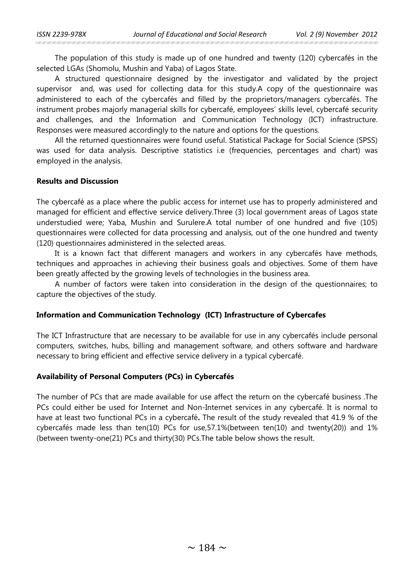The population of this study is made up of one hundred and twenty (120) cybercafés in the selected LGAs (Shomolu, Mushin and Yaba) of Lagos State.

A structured questionnaire designed by the investigator and validated by the project supervisor and, was used for collecting data for this study.A copy of the questionnaire was administered to each of the cybercafés and filled by the proprietors/managers cybercafés. The instrument probes majorly managerial skills for cybercafé, employees' skills level, cybercafé security and challenges, and the Information and Communication Technology (ICT) infrastructure. Responses were measured accordingly to the nature and options for the questions.

All the returned questionnaires were found useful. Statistical Package for Social Science (SPSS) was used for data analysis. Descriptive statistics i.e (frequencies, percentages and chart) was employed in the analysis.

### **Results and Discussion**

The cybercafé as a place where the public access for internet use has to properly administered and managed for efficient and effective service delivery.Three (3) local government areas of Lagos state understudied were; Yaba, Mushin and Surulere.A total number of one hundred and five (105) questionnaires were collected for data processing and analysis, out of the one hundred and twenty (120) questionnaires administered in the selected areas.

It is a known fact that different managers and workers in any cybercafés have methods, techniques and approaches in achieving their business goals and objectives. Some of them have been greatly affected by the growing levels of technologies in the business area.

A number of factors were taken into consideration in the design of the questionnaires; to capture the objectives of the study.

## **Information and Communication Technology (ICT) Infrastructure of Cybercafes**

The ICT Infrastructure that are necessary to be available for use in any cybercafés include personal computers, switches, hubs, billing and management software, and others software and hardware necessary to bring efficient and effective service delivery in a typical cybercafé.

## **Availability of Personal Computers (PCs) in Cybercafés**

The number of PCs that are made available for use affect the return on the cybercafé business .The PCs could either be used for Internet and Non-Internet services in any cybercafé. It is normal to have at least two functional PCs in a cybercafé**.** The result of the study revealed that 41.9 % of the cybercafés made less than ten(10) PCs for use, 57.1% (between ten(10) and twenty (20)) and 1% (between twenty-one(21) PCs and thirty(30) PCs.The table below shows the result.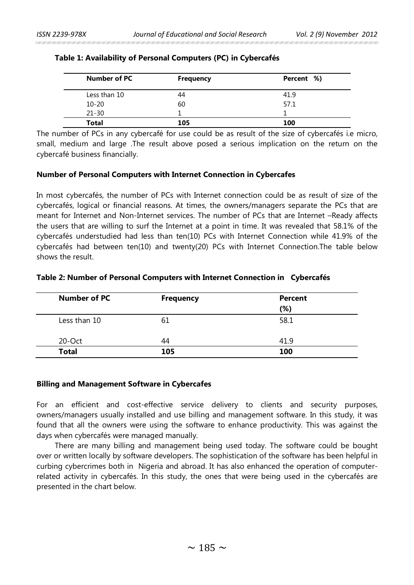| Number of PC | <b>Frequency</b> | Percent %) |
|--------------|------------------|------------|
| Less than 10 | 44               | 41.9       |
| $10 - 20$    | 60               | 57.1       |
| $21 - 30$    |                  |            |
| <b>Total</b> | 105              | 100        |

## **Table 1: Availability of Personal Computers (PC) in Cybercafés**

The number of PCs in any cybercafé for use could be as result of the size of cybercafés i.e micro, small, medium and large .The result above posed a serious implication on the return on the cybercafé business financially.

### **Number of Personal Computers with Internet Connection in Cybercafes**

In most cybercafés, the number of PCs with Internet connection could be as result of size of the cybercafés, logical or financial reasons. At times, the owners/managers separate the PCs that are meant for Internet and Non-Internet services. The number of PCs that are Internet –Ready affects the users that are willing to surf the Internet at a point in time. It was revealed that 58.1% of the cybercafés understudied had less than ten(10) PCs with Internet Connection while 41.9% of the cybercafés had between ten(10) and twenty(20) PCs with Internet Connection.The table below shows the result.

# **Table 2: Number of Personal Computers with Internet Connection in Cybercafés**

| Number of PC | <b>Frequency</b> | <b>Percent</b><br>(%) |
|--------------|------------------|-----------------------|
| Less than 10 | 61               | 58.1                  |
| $20$ -Oct    | 44               | 41.9                  |
| <b>Total</b> | 105              | 100                   |

#### **Billing and Management Software in Cybercafes**

For an efficient and cost-effective service delivery to clients and security purposes, owners/managers usually installed and use billing and management software. In this study, it was found that all the owners were using the software to enhance productivity. This was against the days when cybercafés were managed manually.

There are many billing and management being used today. The software could be bought over or written locally by software developers. The sophistication of the software has been helpful in curbing cybercrimes both in Nigeria and abroad. It has also enhanced the operation of computerrelated activity in cybercafés. In this study, the ones that were being used in the cybercafés are presented in the chart below.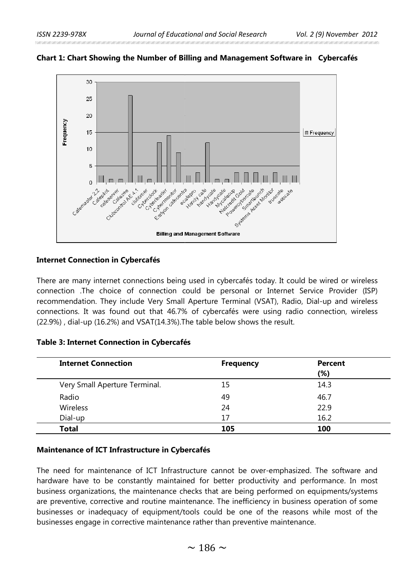

## **Chart 1: Chart Showing the Number of Billing and Management Software in Cybercafés the**

## **Internet Connection in Cybercafés**

## **Table 3: Internet Connection in Cybercafés**

| <b>Table 3: Internet Connection in Cybercafés</b> |                  |                |
|---------------------------------------------------|------------------|----------------|
| <b>Internet Connection</b>                        | <b>Frequency</b> | <b>Percent</b> |
| Very Small Aperture Terminal.                     | 15               | (%)<br>14.3    |
| Radio                                             | 49               | 46.7           |
| <b>Wireless</b>                                   | 24               | 22.9           |
| Dial-up                                           | 17               | 16.2           |
| <b>Total</b>                                      | 105              | 100            |
| Maintenance of ICT Infrastructure in Cybercafés   |                  |                |

#### **Maintenance of ICT Infrastructure in Cybercafés Infrastructure**

The need for maintenance of ICT Infrastructure cannot be over-emphasized. The software and hardware have to be constantly maintained for better productivity and performance. In most business organizations, the maintenance checks that are being performed on equipments/systems are preventive, corrective and routine maintenance. The inefficiency in business operation of some businesses or inadequacy of equipment/tools could be one of the reasons while most of the businesses engage in corrective maintenance rather than preventive maintenance.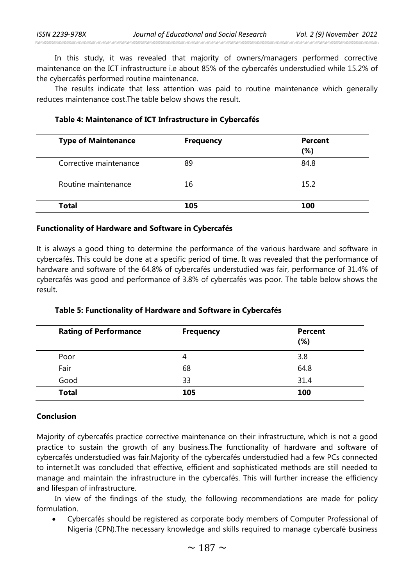In this study, it was revealed that majority of owners/managers performed corrective maintenance on the ICT infrastructure i.e about 85% of the cybercafés understudied while 15.2% of the cybercafés performed routine maintenance.

The results indicate that less attention was paid to routine maintenance which generally reduces maintenance cost.The table below shows the result.

| <b>Type of Maintenance</b> | <b>Frequency</b> | <b>Percent</b><br>(%) |
|----------------------------|------------------|-----------------------|
| Corrective maintenance     | 89               | 84.8                  |
| Routine maintenance        | 16               | 15.2                  |
| Total                      | 105              | 100                   |

## **Table 4: Maintenance of ICT Infrastructure in Cybercafés**

### **Functionality of Hardware and Software in Cybercafés**

It is always a good thing to determine the performance of the various hardware and software in cybercafés. This could be done at a specific period of time. It was revealed that the performance of hardware and software of the 64.8% of cybercafés understudied was fair, performance of 31.4% of cybercafés was good and performance of 3.8% of cybercafés was poor. The table below shows the result.

| <b>Rating of Performance</b> | <b>Frequency</b> | <b>Percent</b><br>(%) |
|------------------------------|------------------|-----------------------|
| Poor                         | 4                | 3.8                   |
| Fair                         | 68               | 64.8                  |
| Good                         | 33               | 31.4                  |
| <b>Total</b>                 | 105              | 100                   |

## **Table 5: Functionality of Hardware and Software in Cybercafés**

# **Conclusion**

Majority of cybercafés practice corrective maintenance on their infrastructure, which is not a good practice to sustain the growth of any business.The functionality of hardware and software of cybercafés understudied was fair.Majority of the cybercafés understudied had a few PCs connected to internet.It was concluded that effective, efficient and sophisticated methods are still needed to manage and maintain the infrastructure in the cybercafés. This will further increase the efficiency and lifespan of infrastructure.

In view of the findings of the study, the following recommendations are made for policy formulation.

• Cybercafés should be registered as corporate body members of Computer Professional of Nigeria (CPN).The necessary knowledge and skills required to manage cybercafé business